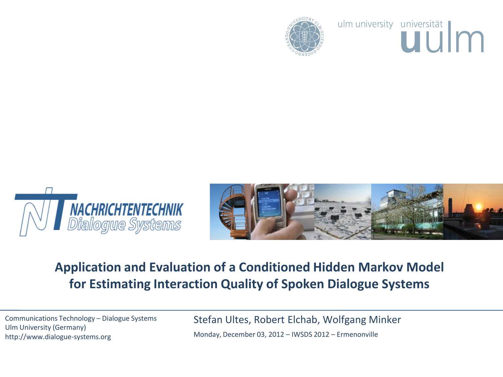

ulm university universität





# **Application and Evaluation of a Conditioned Hidden Markov Model for Estimating Interaction Quality of Spoken Dialogue Systems**

Communications Technology – Dialogue Systems Ulm University (Germany) http://www.dialogue-systems.org

Stefan Ultes, Robert Elchab, Wolfgang Minker Monday, December 03, 2012 – IWSDS 2012 – Ermenonville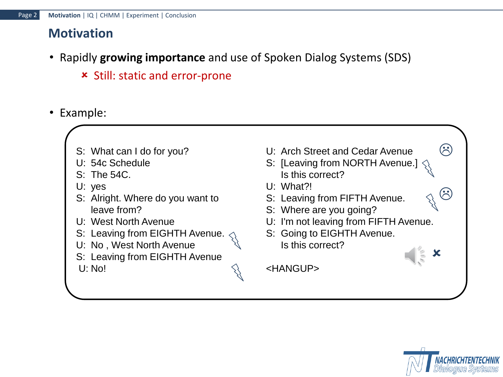# **Motivation**

- Rapidly **growing importance** and use of Spoken Dialog Systems (SDS)
	- Still: static and error-prone
- Example:
	- S: What can I do for you?
	- U: 54c Schedule
	- S: The 54C.
	- U: yes
	- S: Alright. Where do you want to leave from?
	- U: West North Avenue
	- S: Leaving from EIGHTH Avenue.
	- U: No , West North Avenue
	- S: Leaving from EIGHTH Avenue
	- U: No!

U: Arch Street and Cedar Avenue S: [Leaving from NORTH Avenue.] Is this correct? U: What?! S: Leaving from FIFTH Avenue. S: Where are you going? U: I'm not leaving from FIFTH Avenue. S: Going to EIGHTH Avenue. Is this correct? <HANGUP> ×  $\odot$  $\odot$ 

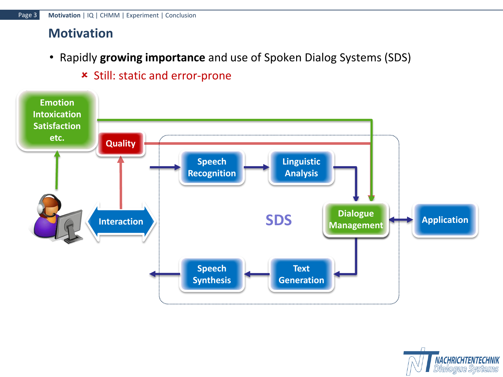#### **Motivation**

• Rapidly **growing importance** and use of Spoken Dialog Systems (SDS)



#### Still: static and error-prone

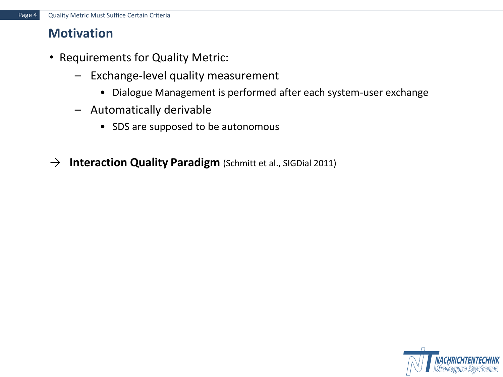#### **Motivation**

- Requirements for Quality Metric:
	- Exchange-level quality measurement
		- Dialogue Management is performed after each system-user exchange
	- Automatically derivable
		- SDS are supposed to be autonomous
- → **Interaction Quality Paradigm** (Schmitt et al., SIGDial 2011)

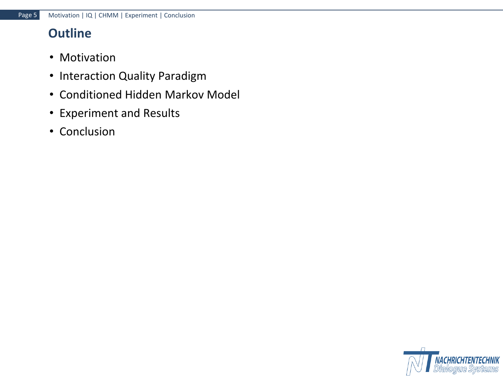# **Outline**

- Motivation
- Interaction Quality Paradigm
- Conditioned Hidden Markov Model
- Experiment and Results
- Conclusion

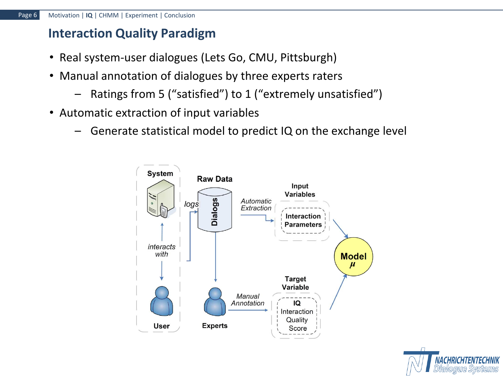#### **Interaction Quality Paradigm**

- Real system-user dialogues (Lets Go, CMU, Pittsburgh)
- Manual annotation of dialogues by three experts raters
	- Ratings from 5 ("satisfied") to 1 ("extremely unsatisfied")
- Automatic extraction of input variables
	- Generate statistical model to predict IQ on the exchange level



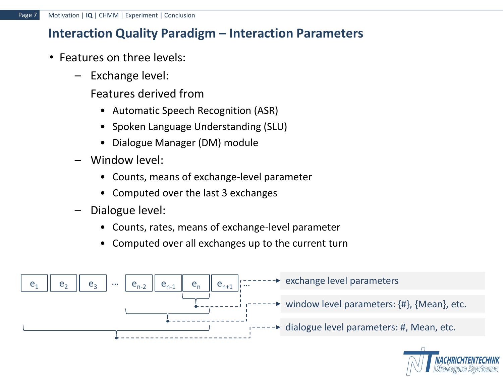#### **Interaction Quality Paradigm – Interaction Parameters**

- Features on three levels:
	- Exchange level:
		- Features derived from
			- Automatic Speech Recognition (ASR)
			- Spoken Language Understanding (SLU)
			- Dialogue Manager (DM) module
	- Window level:
		- Counts, means of exchange-level parameter
		- Computed over the last 3 exchanges
	- Dialogue level:
		- Counts, rates, means of exchange-level parameter
		- Computed over all exchanges up to the current turn



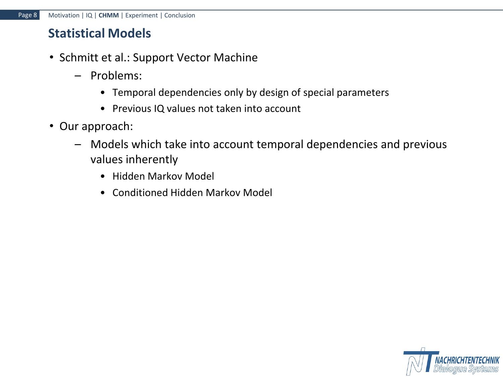#### **Statistical Models**

- Schmitt et al.: Support Vector Machine
	- Problems:
		- Temporal dependencies only by design of special parameters
		- Previous IQ values not taken into account
- Our approach:
	- Models which take into account temporal dependencies and previous values inherently
		- Hidden Markov Model
		- Conditioned Hidden Markov Model

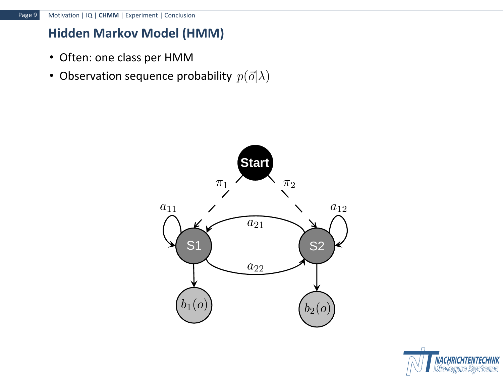# **Hidden Markov Model (HMM)**

- Often: one class per HMM
- Observation sequence probability  $p(\vec{o}|\lambda)$



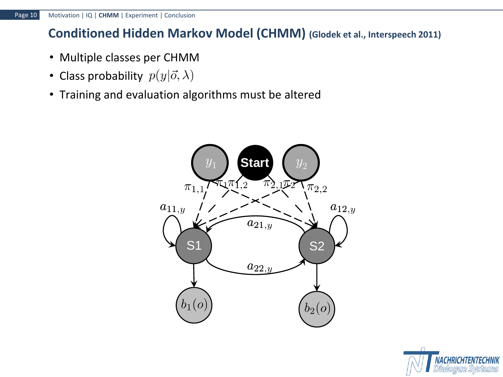# **Conditioned Hidden Markov Model (CHMM) (Glodek et al., Interspeech 2011)**

- Multiple classes per CHMM
- Class probability  $p(y|\vec{o}, \lambda)$
- Training and evaluation algorithms must be altered



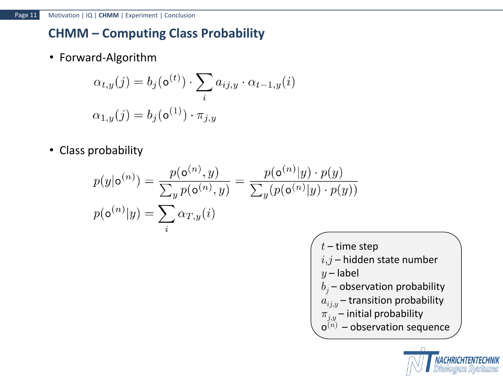# **CHMM – Computing Class Probability**

• Forward-Algorithm

$$
\alpha_{t,y}(j) = b_j(\mathbf{o}^{(t)}) \cdot \sum_i a_{ij,y} \cdot \alpha_{t-1,y}(i)
$$

$$
\alpha_{1,y}(j) = b_j(\mathbf{o}^{(1)}) \cdot \pi_{j,y}
$$

• Class probability

$$
p(y|\mathbf{o}^{(n)}) = \frac{p(\mathbf{o}^{(n)}, y)}{\sum_{y} p(\mathbf{o}^{(n)}, y)} = \frac{p(\mathbf{o}^{(n)}|y) \cdot p(y)}{\sum_{y} (p(\mathbf{o}^{(n)}|y) \cdot p(y))}
$$

$$
p(\mathbf{o}^{(n)}|y) = \sum_{i} \alpha_{T, y}(i)
$$

 $t$  – time step  $i,j$  – hidden state number  $y$  – label  $b_j$  – observation probability  $a_{ij,y}$  – transition probability  $\overline{\pi}_{j,y}$  – initial probability  $o^{(n)}$  – observation sequence

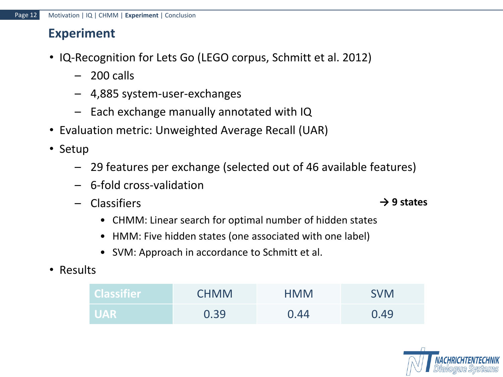#### **Experiment**

- IQ-Recognition for Lets Go (LEGO corpus, Schmitt et al. 2012)
	- 200 calls
	- 4,885 system-user-exchanges
	- Each exchange manually annotated with IQ
- Evaluation metric: Unweighted Average Recall (UAR)
- Setup
	- 29 features per exchange (selected out of 46 available features)
	- 6-fold cross-validation
	- Classifiers
		- CHMM: Linear search for optimal number of hidden states
		- HMM: Five hidden states (one associated with one label)
		- SVM: Approach in accordance to Schmitt et al.
- Results

| <b>Classifier</b> | <b>CHMM</b> | <b>HMM</b> | <b>SVM</b> |
|-------------------|-------------|------------|------------|
| <b>UAR</b>        | 0.39        | 0.44       | 0.49       |



**→ 9 states**